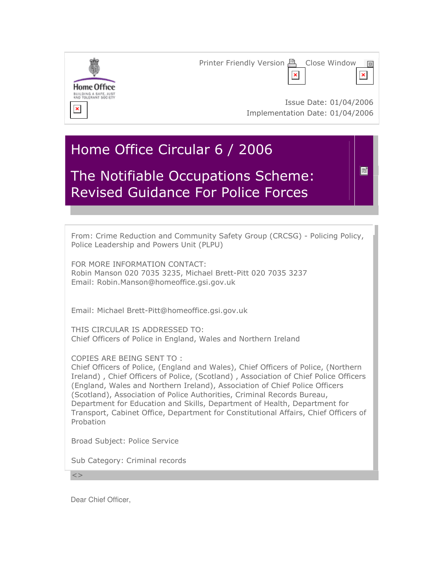

# Home Office Circular 6 / 2006

# The Notifiable Occupations Scheme: Revised Guidance For Police Forces

From: Crime Reduction and Community Safety Group (CRCSG) - Policing Policy, Police Leadership and Powers Unit (PLPU)

冒

FOR MORE INFORMATION CONTACT: Robin Manson 020 7035 3235, Michael Brett-Pitt 020 7035 3237 Email: Robin.Manson@homeoffice.gsi.gov.uk

Email: Michael Brett-Pitt@homeoffice.gsi.gov.uk

THIS CIRCULAR IS ADDRESSED TO: Chief Officers of Police in England, Wales and Northern Ireland

COPIES ARE BEING SENT TO :

Chief Officers of Police, (England and Wales), Chief Officers of Police, (Northern Ireland) , Chief Officers of Police, (Scotland) , Association of Chief Police Officers (England, Wales and Northern Ireland), Association of Chief Police Officers (Scotland), Association of Police Authorities, Criminal Records Bureau, Department for Education and Skills, Department of Health, Department for Transport, Cabinet Office, Department for Constitutional Affairs, Chief Officers of Probation

Broad Subject: Police Service

Sub Category: Criminal records

 $\lt$ 

Dear Chief Officer,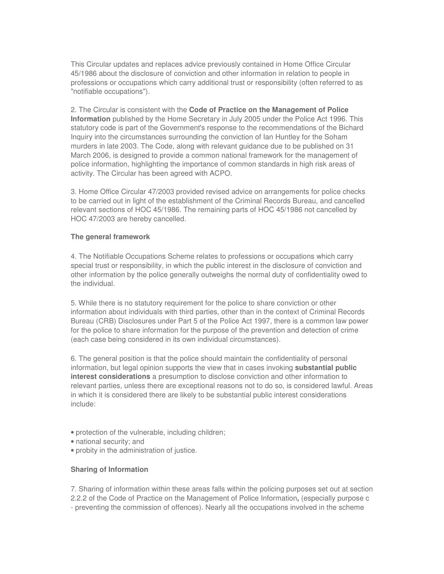This Circular updates and replaces advice previously contained in Home Office Circular 45/1986 about the disclosure of conviction and other information in relation to people in professions or occupations which carry additional trust or responsibility (often referred to as "notifiable occupations").

2. The Circular is consistent with the **Code of Practice on the Management of Police Information** published by the Home Secretary in July 2005 under the Police Act 1996. This statutory code is part of the Government's response to the recommendations of the Bichard Inquiry into the circumstances surrounding the conviction of Ian Huntley for the Soham murders in late 2003. The Code, along with relevant guidance due to be published on 31 March 2006, is designed to provide a common national framework for the management of police information, highlighting the importance of common standards in high risk areas of activity. The Circular has been agreed with ACPO.

3. Home Office Circular 47/2003 provided revised advice on arrangements for police checks to be carried out in light of the establishment of the Criminal Records Bureau, and cancelled relevant sections of HOC 45/1986. The remaining parts of HOC 45/1986 not cancelled by HOC 47/2003 are hereby cancelled.

### **The general framework**

4. The Notifiable Occupations Scheme relates to professions or occupations which carry special trust or responsibility, in which the public interest in the disclosure of conviction and other information by the police generally outweighs the normal duty of confidentiality owed to the individual.

5. While there is no statutory requirement for the police to share conviction or other information about individuals with third parties, other than in the context of Criminal Records Bureau (CRB) Disclosures under Part 5 of the Police Act 1997, there is a common law power for the police to share information for the purpose of the prevention and detection of crime (each case being considered in its own individual circumstances).

6. The general position is that the police should maintain the confidentiality of personal information, but legal opinion supports the view that in cases invoking **substantial public interest considerations** a presumption to disclose conviction and other information to relevant parties, unless there are exceptional reasons not to do so, is considered lawful. Areas in which it is considered there are likely to be substantial public interest considerations include:

- protection of the vulnerable, including children;
- national security; and
- probity in the administration of justice.

# **Sharing of Information**

7. Sharing of information within these areas falls within the policing purposes set out at section 2.2.2 of the Code of Practice on the Management of Police Information**,** (especially purpose c - preventing the commission of offences). Nearly all the occupations involved in the scheme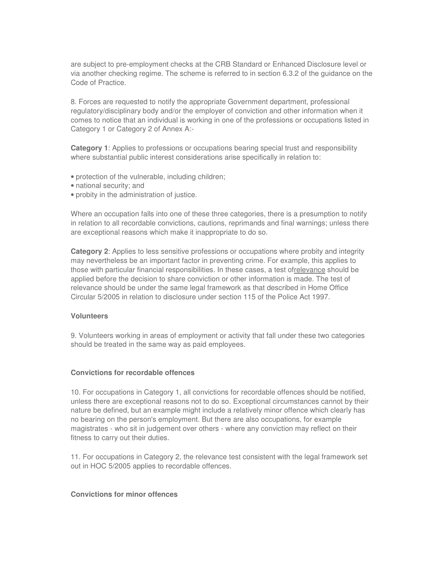are subject to pre-employment checks at the CRB Standard or Enhanced Disclosure level or via another checking regime. The scheme is referred to in section 6.3.2 of the guidance on the Code of Practice.

8. Forces are requested to notify the appropriate Government department, professional regulatory/disciplinary body and/or the employer of conviction and other information when it comes to notice that an individual is working in one of the professions or occupations listed in Category 1 or Category 2 of Annex A:-

**Category 1**: Applies to professions or occupations bearing special trust and responsibility where substantial public interest considerations arise specifically in relation to:

- protection of the vulnerable, including children;
- national security; and
- probity in the administration of justice.

Where an occupation falls into one of these three categories, there is a presumption to notify in relation to all recordable convictions, cautions, reprimands and final warnings; unless there are exceptional reasons which make it inappropriate to do so.

**Category 2**: Applies to less sensitive professions or occupations where probity and integrity may nevertheless be an important factor in preventing crime. For example, this applies to those with particular financial responsibilities. In these cases, a test ofrelevance should be applied before the decision to share conviction or other information is made. The test of relevance should be under the same legal framework as that described in Home Office Circular 5/2005 in relation to disclosure under section 115 of the Police Act 1997.

#### **Volunteers**

9. Volunteers working in areas of employment or activity that fall under these two categories should be treated in the same way as paid employees.

#### **Convictions for recordable offences**

10. For occupations in Category 1, all convictions for recordable offences should be notified, unless there are exceptional reasons not to do so. Exceptional circumstances cannot by their nature be defined, but an example might include a relatively minor offence which clearly has no bearing on the person's employment. But there are also occupations, for example magistrates - who sit in judgement over others - where any conviction may reflect on their fitness to carry out their duties.

11. For occupations in Category 2, the relevance test consistent with the legal framework set out in HOC 5/2005 applies to recordable offences.

# **Convictions for minor offences**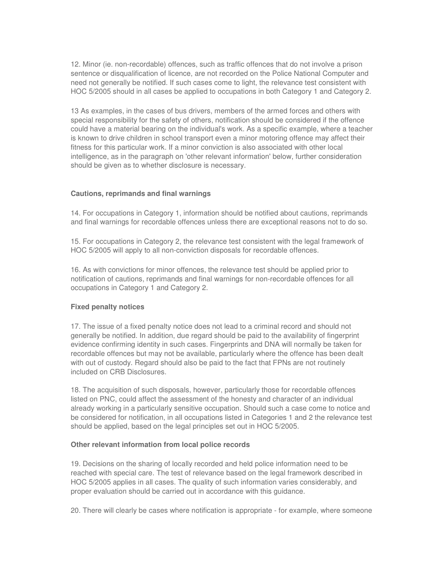12. Minor (ie. non-recordable) offences, such as traffic offences that do not involve a prison sentence or disqualification of licence, are not recorded on the Police National Computer and need not generally be notified. If such cases come to light, the relevance test consistent with HOC 5/2005 should in all cases be applied to occupations in both Category 1 and Category 2.

13 As examples, in the cases of bus drivers, members of the armed forces and others with special responsibility for the safety of others, notification should be considered if the offence could have a material bearing on the individual's work. As a specific example, where a teacher is known to drive children in school transport even a minor motoring offence may affect their fitness for this particular work. If a minor conviction is also associated with other local intelligence, as in the paragraph on 'other relevant information' below, further consideration should be given as to whether disclosure is necessary.

### **Cautions, reprimands and final warnings**

14. For occupations in Category 1, information should be notified about cautions, reprimands and final warnings for recordable offences unless there are exceptional reasons not to do so.

15. For occupations in Category 2, the relevance test consistent with the legal framework of HOC 5/2005 will apply to all non-conviction disposals for recordable offences.

16. As with convictions for minor offences, the relevance test should be applied prior to notification of cautions, reprimands and final warnings for non-recordable offences for all occupations in Category 1 and Category 2.

#### **Fixed penalty notices**

17. The issue of a fixed penalty notice does not lead to a criminal record and should not generally be notified. In addition, due regard should be paid to the availability of fingerprint evidence confirming identity in such cases. Fingerprints and DNA will normally be taken for recordable offences but may not be available, particularly where the offence has been dealt with out of custody. Regard should also be paid to the fact that FPNs are not routinely included on CRB Disclosures.

18. The acquisition of such disposals, however, particularly those for recordable offences listed on PNC, could affect the assessment of the honesty and character of an individual already working in a particularly sensitive occupation. Should such a case come to notice and be considered for notification, in all occupations listed in Categories 1 and 2 the relevance test should be applied, based on the legal principles set out in HOC 5/2005.

#### **Other relevant information from local police records**

19. Decisions on the sharing of locally recorded and held police information need to be reached with special care. The test of relevance based on the legal framework described in HOC 5/2005 applies in all cases. The quality of such information varies considerably, and proper evaluation should be carried out in accordance with this guidance.

20. There will clearly be cases where notification is appropriate - for example, where someone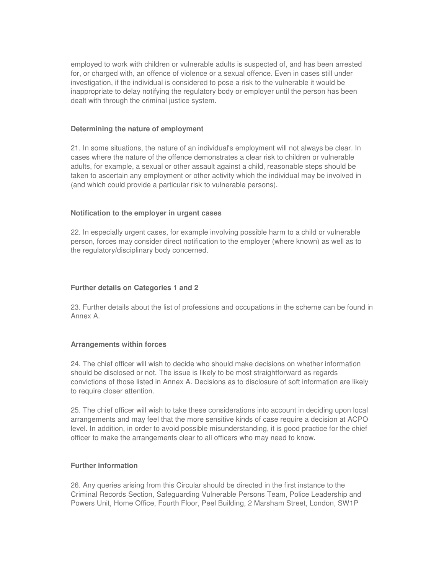employed to work with children or vulnerable adults is suspected of, and has been arrested for, or charged with, an offence of violence or a sexual offence. Even in cases still under investigation, if the individual is considered to pose a risk to the vulnerable it would be inappropriate to delay notifying the regulatory body or employer until the person has been dealt with through the criminal justice system.

#### **Determining the nature of employment**

21. In some situations, the nature of an individual's employment will not always be clear. In cases where the nature of the offence demonstrates a clear risk to children or vulnerable adults, for example, a sexual or other assault against a child, reasonable steps should be taken to ascertain any employment or other activity which the individual may be involved in (and which could provide a particular risk to vulnerable persons).

# **Notification to the employer in urgent cases**

22. In especially urgent cases, for example involving possible harm to a child or vulnerable person, forces may consider direct notification to the employer (where known) as well as to the regulatory/disciplinary body concerned.

## **Further details on Categories 1 and 2**

23. Further details about the list of professions and occupations in the scheme can be found in Annex A.

# **Arrangements within forces**

24. The chief officer will wish to decide who should make decisions on whether information should be disclosed or not. The issue is likely to be most straightforward as regards convictions of those listed in Annex A. Decisions as to disclosure of soft information are likely to require closer attention.

25. The chief officer will wish to take these considerations into account in deciding upon local arrangements and may feel that the more sensitive kinds of case require a decision at ACPO level. In addition, in order to avoid possible misunderstanding, it is good practice for the chief officer to make the arrangements clear to all officers who may need to know.

## **Further information**

26. Any queries arising from this Circular should be directed in the first instance to the Criminal Records Section, Safeguarding Vulnerable Persons Team, Police Leadership and Powers Unit, Home Office, Fourth Floor, Peel Building, 2 Marsham Street, London, SW1P